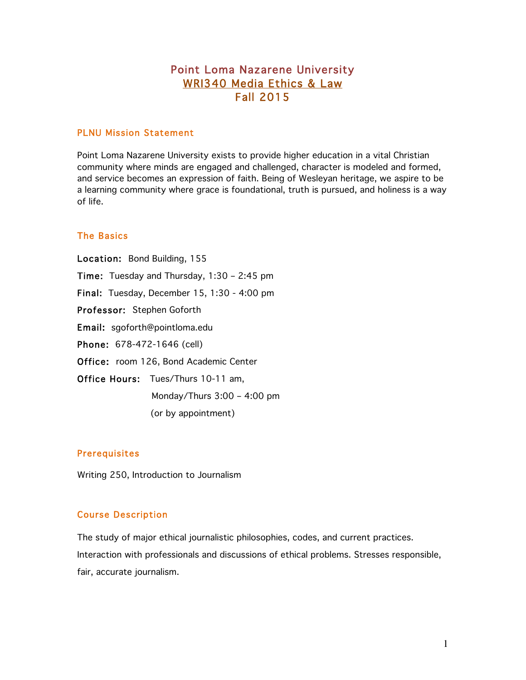# Point Loma Nazarene University WRI340 Media Ethics & Law Fall 2015

# PLNU Mission Statement

Point Loma Nazarene University exists to provide higher education in a vital Christian community where minds are engaged and challenged, character is modeled and formed, and service becomes an expression of faith. Being of Wesleyan heritage, we aspire to be a learning community where grace is foundational, truth is pursued, and holiness is a way of life.

# The Basics

Location: Bond Building, 155 Time: Tuesday and Thursday, 1:30 – 2:45 pm Final: Tuesday, December 15, 1:30 - 4:00 pm Professor: Stephen Goforth Email: sgoforth@pointloma.edu Phone: 678-472-1646 (cell) Office: room 126, Bond Academic Center Office Hours: Tues/Thurs 10-11 am, Monday/Thurs 3:00 – 4:00 pm (or by appointment)

#### Prerequisites

Writing 250, Introduction to Journalism

#### Course Description

The study of major ethical journalistic philosophies, codes, and current practices. Interaction with professionals and discussions of ethical problems. Stresses responsible, fair, accurate journalism.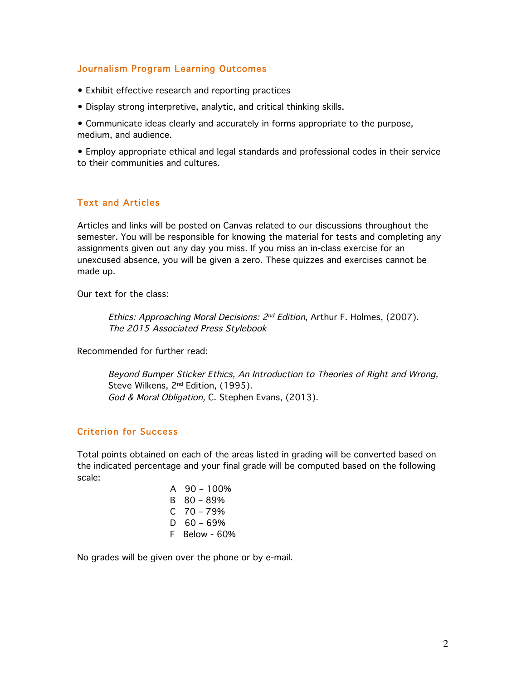# Journalism Program Learning Outcomes

- Exhibit effective research and reporting practices
- Display strong interpretive, analytic, and critical thinking skills.

• Communicate ideas clearly and accurately in forms appropriate to the purpose, medium, and audience.

• Employ appropriate ethical and legal standards and professional codes in their service to their communities and cultures.

# Text and Articles

Articles and links will be posted on Canvas related to our discussions throughout the semester. You will be responsible for knowing the material for tests and completing any assignments given out any day you miss. If you miss an in-class exercise for an unexcused absence, you will be given a zero. These quizzes and exercises cannot be made up.

Our text for the class:

Ethics: Approaching Moral Decisions: 2<sup>nd</sup> Edition, Arthur F. Holmes, (2007). The 2015 Associated Press Stylebook

Recommended for further read:

Beyond Bumper Sticker Ethics, An Introduction to Theories of Right and Wrong, Steve Wilkens, 2<sup>nd</sup> Edition, (1995). God & Moral Obligation, C. Stephen Evans, (2013).

# Criterion for Success

Total points obtained on each of the areas listed in grading will be converted based on the indicated percentage and your final grade will be computed based on the following scale:

> A  $90 - 100\%$ B 80 – 89%  $C$  70 – 79%  $D$  60 – 69% F Below - 60%

No grades will be given over the phone or by e-mail.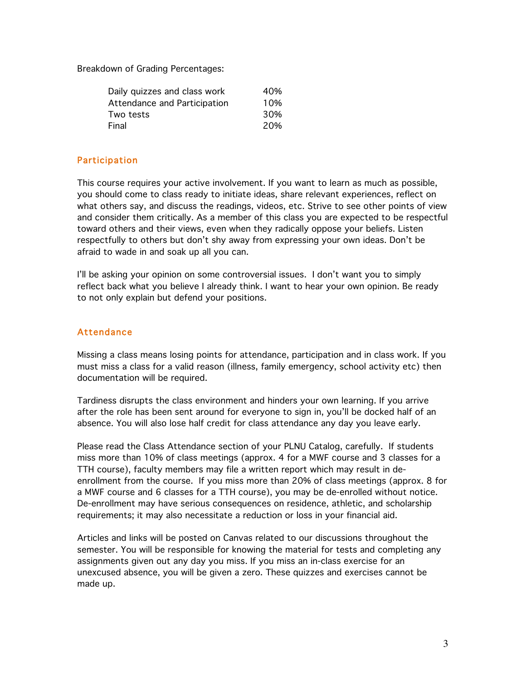Breakdown of Grading Percentages:

| Daily quizzes and class work | 40% |
|------------------------------|-----|
| Attendance and Participation | 10% |
| Two tests                    | 30% |
| Final                        | 20% |

### **Participation**

This course requires your active involvement. If you want to learn as much as possible, you should come to class ready to initiate ideas, share relevant experiences, reflect on what others say, and discuss the readings, videos, etc. Strive to see other points of view and consider them critically. As a member of this class you are expected to be respectful toward others and their views, even when they radically oppose your beliefs. Listen respectfully to others but don't shy away from expressing your own ideas. Don't be afraid to wade in and soak up all you can.

I'll be asking your opinion on some controversial issues. I don't want you to simply reflect back what you believe I already think. I want to hear your own opinion. Be ready to not only explain but defend your positions.

### Attendance

Missing a class means losing points for attendance, participation and in class work. If you must miss a class for a valid reason (illness, family emergency, school activity etc) then documentation will be required.

Tardiness disrupts the class environment and hinders your own learning. If you arrive after the role has been sent around for everyone to sign in, you'll be docked half of an absence. You will also lose half credit for class attendance any day you leave early.

Please read the Class Attendance section of your PLNU Catalog, carefully. If students miss more than 10% of class meetings (approx. 4 for a MWF course and 3 classes for a TTH course), faculty members may file a written report which may result in deenrollment from the course. If you miss more than 20% of class meetings (approx. 8 for a MWF course and 6 classes for a TTH course), you may be de-enrolled without notice. De-enrollment may have serious consequences on residence, athletic, and scholarship requirements; it may also necessitate a reduction or loss in your financial aid.

Articles and links will be posted on Canvas related to our discussions throughout the semester. You will be responsible for knowing the material for tests and completing any assignments given out any day you miss. If you miss an in-class exercise for an unexcused absence, you will be given a zero. These quizzes and exercises cannot be made up.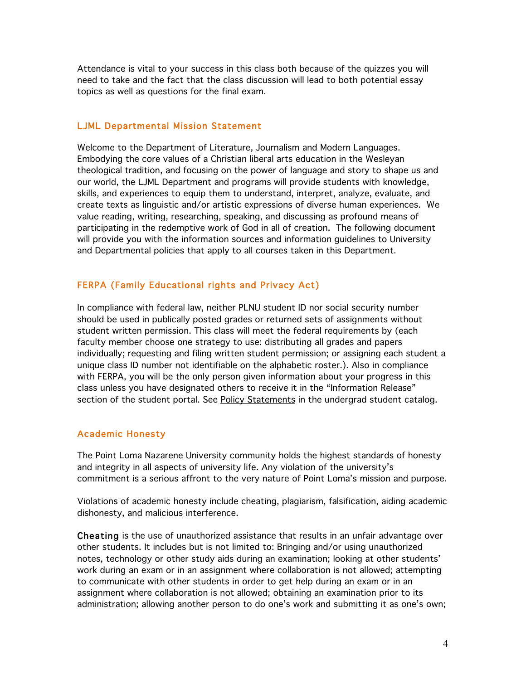Attendance is vital to your success in this class both because of the quizzes you will need to take and the fact that the class discussion will lead to both potential essay topics as well as questions for the final exam.

#### LJML Departmental Mission Statement

Welcome to the Department of Literature, Journalism and Modern Languages. Embodying the core values of a Christian liberal arts education in the Wesleyan theological tradition, and focusing on the power of language and story to shape us and our world, the LJML Department and programs will provide students with knowledge, skills, and experiences to equip them to understand, interpret, analyze, evaluate, and create texts as linguistic and/or artistic expressions of diverse human experiences. We value reading, writing, researching, speaking, and discussing as profound means of participating in the redemptive work of God in all of creation. The following document will provide you with the information sources and information guidelines to University and Departmental policies that apply to all courses taken in this Department.

### FERPA (Family Educational rights and Privacy Act)

In compliance with federal law, neither PLNU student ID nor social security number should be used in publically posted grades or returned sets of assignments without student written permission. This class will meet the federal requirements by (each faculty member choose one strategy to use: distributing all grades and papers individually; requesting and filing written student permission; or assigning each student a unique class ID number not identifiable on the alphabetic roster.). Also in compliance with FERPA, you will be the only person given information about your progress in this class unless you have designated others to receive it in the "Information Release" section of the student portal. See Policy Statements in the undergrad student catalog.

#### Academic Honesty

The Point Loma Nazarene University community holds the highest standards of honesty and integrity in all aspects of university life. Any violation of the university's commitment is a serious affront to the very nature of Point Loma's mission and purpose.

Violations of academic honesty include cheating, plagiarism, falsification, aiding academic dishonesty, and malicious interference.

Cheating is the use of unauthorized assistance that results in an unfair advantage over other students. It includes but is not limited to: Bringing and/or using unauthorized notes, technology or other study aids during an examination; looking at other students' work during an exam or in an assignment where collaboration is not allowed; attempting to communicate with other students in order to get help during an exam or in an assignment where collaboration is not allowed; obtaining an examination prior to its administration; allowing another person to do one's work and submitting it as one's own;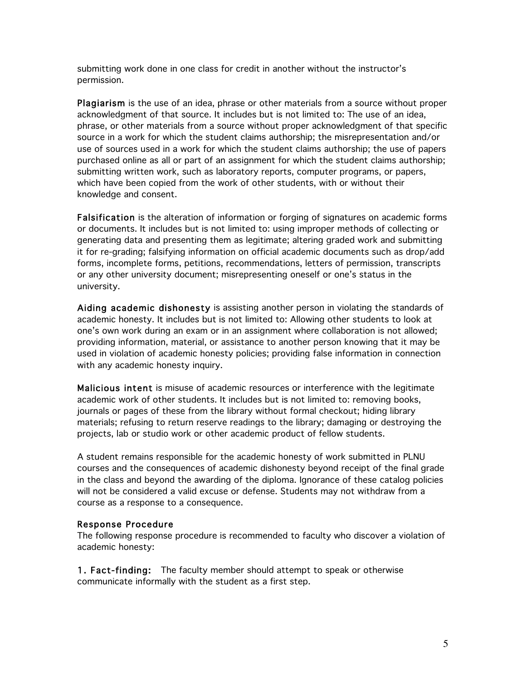submitting work done in one class for credit in another without the instructor's permission.

Plagiarism is the use of an idea, phrase or other materials from a source without proper acknowledgment of that source. It includes but is not limited to: The use of an idea, phrase, or other materials from a source without proper acknowledgment of that specific source in a work for which the student claims authorship; the misrepresentation and/or use of sources used in a work for which the student claims authorship; the use of papers purchased online as all or part of an assignment for which the student claims authorship; submitting written work, such as laboratory reports, computer programs, or papers, which have been copied from the work of other students, with or without their knowledge and consent.

Falsification is the alteration of information or forging of signatures on academic forms or documents. It includes but is not limited to: using improper methods of collecting or generating data and presenting them as legitimate; altering graded work and submitting it for re-grading; falsifying information on official academic documents such as drop/add forms, incomplete forms, petitions, recommendations, letters of permission, transcripts or any other university document; misrepresenting oneself or one's status in the university.

Aiding academic dishonesty is assisting another person in violating the standards of academic honesty. It includes but is not limited to: Allowing other students to look at one's own work during an exam or in an assignment where collaboration is not allowed; providing information, material, or assistance to another person knowing that it may be used in violation of academic honesty policies; providing false information in connection with any academic honesty inquiry.

Malicious intent is misuse of academic resources or interference with the legitimate academic work of other students. It includes but is not limited to: removing books, journals or pages of these from the library without formal checkout; hiding library materials; refusing to return reserve readings to the library; damaging or destroying the projects, lab or studio work or other academic product of fellow students.

A student remains responsible for the academic honesty of work submitted in PLNU courses and the consequences of academic dishonesty beyond receipt of the final grade in the class and beyond the awarding of the diploma. Ignorance of these catalog policies will not be considered a valid excuse or defense. Students may not withdraw from a course as a response to a consequence.

#### Response Procedure

The following response procedure is recommended to faculty who discover a violation of academic honesty:

1. Fact-finding: The faculty member should attempt to speak or otherwise communicate informally with the student as a first step.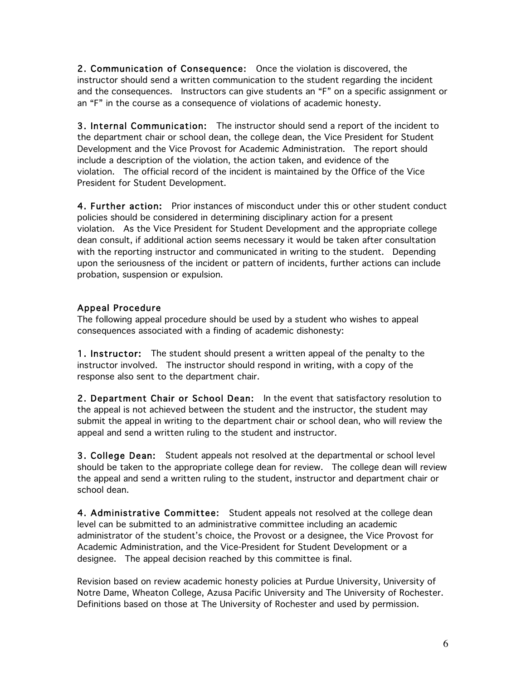2. Communication of Consequence: Once the violation is discovered, the instructor should send a written communication to the student regarding the incident and the consequences. Instructors can give students an "F" on a specific assignment or an "F" in the course as a consequence of violations of academic honesty.

3. Internal Communication: The instructor should send a report of the incident to the department chair or school dean, the college dean, the Vice President for Student Development and the Vice Provost for Academic Administration. The report should include a description of the violation, the action taken, and evidence of the violation. The official record of the incident is maintained by the Office of the Vice President for Student Development.

4. Further action: Prior instances of misconduct under this or other student conduct policies should be considered in determining disciplinary action for a present violation. As the Vice President for Student Development and the appropriate college dean consult, if additional action seems necessary it would be taken after consultation with the reporting instructor and communicated in writing to the student. Depending upon the seriousness of the incident or pattern of incidents, further actions can include probation, suspension or expulsion.

# Appeal Procedure

The following appeal procedure should be used by a student who wishes to appeal consequences associated with a finding of academic dishonesty:

1. Instructor: The student should present a written appeal of the penalty to the instructor involved. The instructor should respond in writing, with a copy of the response also sent to the department chair.

2. Department Chair or School Dean: In the event that satisfactory resolution to the appeal is not achieved between the student and the instructor, the student may submit the appeal in writing to the department chair or school dean, who will review the appeal and send a written ruling to the student and instructor.

3. College Dean: Student appeals not resolved at the departmental or school level should be taken to the appropriate college dean for review. The college dean will review the appeal and send a written ruling to the student, instructor and department chair or school dean.

4. Administrative Committee: Student appeals not resolved at the college dean level can be submitted to an administrative committee including an academic administrator of the student's choice, the Provost or a designee, the Vice Provost for Academic Administration, and the Vice-President for Student Development or a designee. The appeal decision reached by this committee is final.

Revision based on review academic honesty policies at Purdue University, University of Notre Dame, Wheaton College, Azusa Pacific University and The University of Rochester. Definitions based on those at The University of Rochester and used by permission.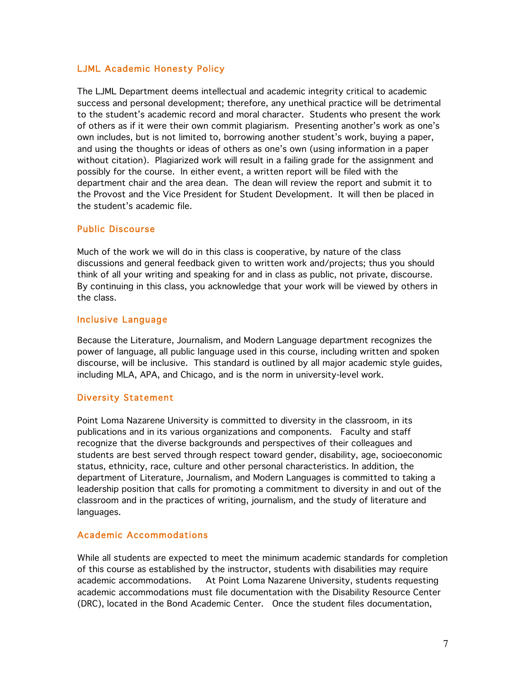# LJML Academic Honesty Policy

The LJML Department deems intellectual and academic integrity critical to academic success and personal development; therefore, any unethical practice will be detrimental to the student's academic record and moral character. Students who present the work of others as if it were their own commit plagiarism. Presenting another's work as one's own includes, but is not limited to, borrowing another student's work, buying a paper, and using the thoughts or ideas of others as one's own (using information in a paper without citation). Plagiarized work will result in a failing grade for the assignment and possibly for the course. In either event, a written report will be filed with the department chair and the area dean. The dean will review the report and submit it to the Provost and the Vice President for Student Development. It will then be placed in the student's academic file.

# Public Discourse

Much of the work we will do in this class is cooperative, by nature of the class discussions and general feedback given to written work and/projects; thus you should think of all your writing and speaking for and in class as public, not private, discourse. By continuing in this class, you acknowledge that your work will be viewed by others in the class.

# Inclusive Language

Because the Literature, Journalism, and Modern Language department recognizes the power of language, all public language used in this course, including written and spoken discourse, will be inclusive. This standard is outlined by all major academic style guides, including MLA, APA, and Chicago, and is the norm in university-level work.

# Diversity Statement

Point Loma Nazarene University is committed to diversity in the classroom, in its publications and in its various organizations and components. Faculty and staff recognize that the diverse backgrounds and perspectives of their colleagues and students are best served through respect toward gender, disability, age, socioeconomic status, ethnicity, race, culture and other personal characteristics. In addition, the department of Literature, Journalism, and Modern Languages is committed to taking a leadership position that calls for promoting a commitment to diversity in and out of the classroom and in the practices of writing, journalism, and the study of literature and languages.

# Academic Accommodations

While all students are expected to meet the minimum academic standards for completion of this course as established by the instructor, students with disabilities may require academic accommodations. At Point Loma Nazarene University, students requesting academic accommodations must file documentation with the Disability Resource Center (DRC), located in the Bond Academic Center. Once the student files documentation,